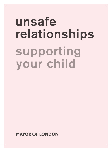# unsafe relationships supporting your child

**MAYOR OF LONDON**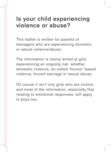#### **Is your child experiencing violence or abuse?**

This leaflet is written for parents of teenagers who are experiencing domestic or sexual violence/abuse.

The information is mainly aimed at girls experiencing an ongoing risk: whether domestic violence, so-called 'honour' based violence, forced marriage or sexual abuse.

Of course it isn't only girls who are victims and most of the information, especially that relating to emotional responses, will apply to boys too.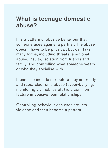#### **What is teenage domestic abuse?**

It is a pattern of abusive behaviour that someone uses against a partner. The abuse doesn't have to be physical: but can take many forms, including threats, emotional abuse, insults, isolation from friends and family, and controlling what someone wears or who they socialise with.

It can also include sex before they are ready and rape. Electronic abuse (cyber-bullying, monitoring via mobiles etc) is a common feature in abusive teen relationships.

Controlling behaviour can escalate into violence and then become a pattern.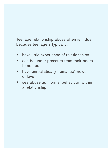Teenage relationship abuse often is hidden, because teenagers typically:

- **\*** have little experience of relationships
- can be under pressure from their peers to act 'cool'
- have unrealistically 'romantic' views of love
- see abuse as 'normal behaviour' within a relationship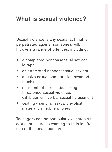### **What is sexual violence?**

Sexual violence is any sexual act that is perpetrated against someone's will. It covers a range of offences, including:

- a completed nonconsensual sex act ie rape
- an attempted nonconsensual sex act
- abusive sexual contact ie unwanted touching
- non-contact sexual abuse eg threatened sexual violence, exhibitionism, verbal sexual harassment
- $\bullet$  sexting sending sexually explicit material via mobile phones

Teenagers can be particularly vulnerable to sexual pressure as wanting to fit in is often one of their main concerns.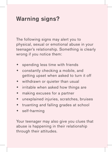#### **Warning signs?**

The following signs may alert you to physical, sexual or emotional abuse in your teenager's relationship. Something is clearly wrong if you notice them:

- spending less time with friends
- constantly checking a mobile, and getting upset when asked to turn it off
- withdrawn or quieter than usual
- $\bullet$  irritable when asked how things are
- making excuses for a partner
- $*$  unexplained injuries, scratches, bruises
- truanting and falling grades at school
- self-harming

Your teenager may also give you clues that abuse is happening in their relationship through their attitudes.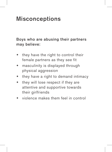### **Misconceptions**

Boys who are abusing their partners may believe:

- $*$  they have the right to control their female partners as they see fit
- masculinity is displayed through physical aggression
- $*$  they have a right to demand intimacy
- they will lose respect if they are attentive and supportive towards their girlfriends
- violence makes them feel in control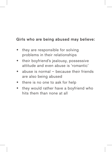#### Girls who are being abused may believe:

- they are responsible for solving problems in their relationships
- $\bullet$  their boyfriend's jealousy, possessive attitude and even abuse is 'romantic'
- abuse is normal  $-$  because their friends are also being abused
- $*$  there is no one to ask for help
- $\bullet$  they would rather have a boyfriend who hits them than none at all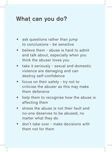#### **What can you do?**

- ask questions rather than jump to conclusions - be sensitive
- believe them abuse is hard to admit and talk about, especially when you think the abuser loves you
- $*$  take it seriously sexual and domestic violence are damaging and can destroy self-confidence
- focus on their safety try not to criticise the abuser as this may make them defensive
- help them to recognise how the abuse is affecting them
- stress the abuse is not their fault and no-one deserves to be abused, no matter what they do
- don't take over make decisions with them not for them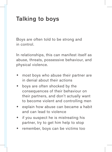### **Talking to boys**

Boys are often told to be strong and in control.

In relationships, this can manifest itself as abuse, threats, possessive behaviour, and physical violence.

- most boys who abuse their partner are in denial about their actions
- boys are often shocked by the consequences of their behaviour on their partners, and don't actually want to become violent and controlling men
- explain how abuse can became a habit and can lead to violence
- if you suspect he is mistreating his partner, try to get him help to stop
- remember, boys can be victims too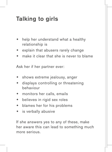## **Talking to girls**

- help her understand what a healthy relationship is
- explain that abusers rarely change
- make it clear that she is never to blame

Ask her if her partner ever:

- shows extreme jealousy, anger
- displays controlling or threatening behaviour
- monitors her calls, emails
- believes in rigid sex roles
- $\bullet$  blames her for his problems
- $\bullet$  is verbally abusive

If she answers yes to any of these, make her aware this can lead to something much more serious.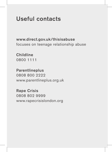#### **Useful contacts**

www.direct.gov.uk/thisisabuse focuses on teenage relationship abuse

Childline 0800 1111

Parentlineplus 0808 800 2222 www.parentlineplus.org.uk

Rape Crisis 0808 802 9999 www.rapecrisislondon.org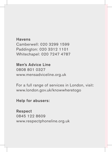Havens Camberwell: 020 3299 1599 Paddington: 020 3312 1101 Whitechapel: 020 7247 4787

Men's Advice Line 0808 801 0327 www.mensadviceline.org.uk

For a full range of services in London, visit: www.london.gov.uk/knowwheretogo

Help for abusers:

Respect 0845 122 8609 www.respectphoneline.org.uk